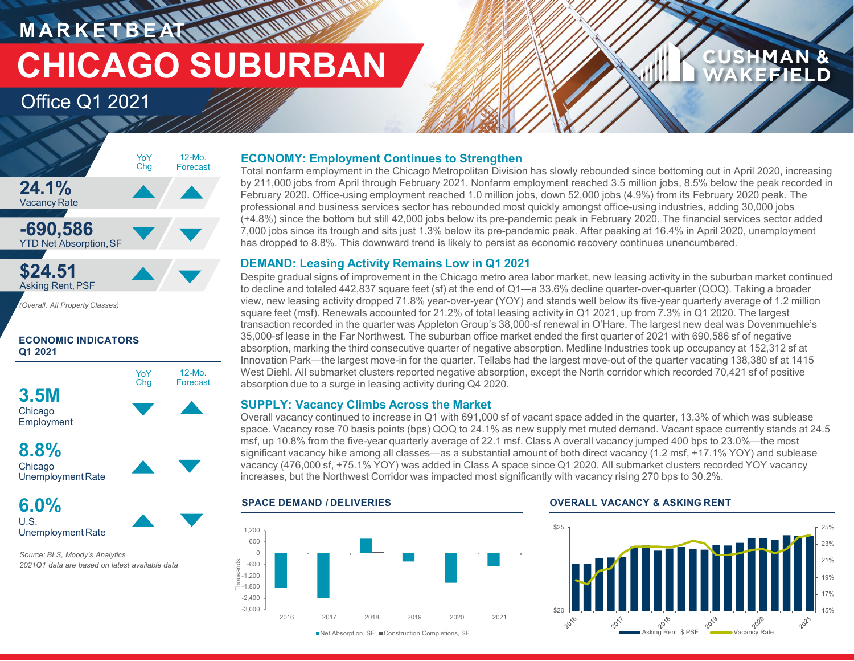**MARKETBEAK MINIMUM CHICAGO SUBURBAN**

## Office Q1 2021



**ECONOMIC INDICATORS Q1 2021**



**Chicago** UnemploymentRate

**6.0%** U.S. Unemployment Rate

*Source: BLS, Moody's Analytics 2021Q1 data are based on latest available data*

## **ECONOMY: Employment Continues to Strengthen**

Total nonfarm employment in the Chicago Metropolitan Division has slowly rebounded since bottoming out in April 2020, increasing by 211,000 jobs from April through February 2021. Nonfarm employment reached 3.5 million jobs, 8.5% below the peak recorded in February 2020. Office-using employment reached 1.0 million jobs, down 52,000 jobs (4.9%) from its February 2020 peak. The professional and business services sector has rebounded most quickly amongst office-using industries, adding 30,000 jobs (+4.8%) since the bottom but still 42,000 jobs below its pre-pandemic peak in February 2020. The financial services sector added 7,000 jobs since its trough and sits just 1.3% below its pre-pandemic peak. After peaking at 16.4% in April 2020, unemployment has dropped to 8.8%. This downward trend is likely to persist as economic recovery continues unencumbered.

## **DEMAND: Leasing Activity Remains Low in Q1 2021**

Despite gradual signs of improvement in the Chicago metro area labor market, new leasing activity in the suburban market continued to decline and totaled 442,837 square feet (sf) at the end of Q1—a 33.6% decline quarter-over-quarter (QOQ). Taking a broader view, new leasing activity dropped 71.8% year-over-year (YOY) and stands well below its five-year quarterly average of 1.2 million square feet (msf). Renewals accounted for 21.2% of total leasing activity in Q1 2021, up from 7.3% in Q1 2020. The largest transaction recorded in the quarter was Appleton Group's 38,000-sf renewal in O'Hare. The largest new deal was Dovenmuehle's 35,000-sf lease in the Far Northwest. The suburban office market ended the first quarter of 2021 with 690,586 sf of negative absorption, marking the third consecutive quarter of negative absorption. Medline Industries took up occupancy at 152,312 sf at Innovation Park—the largest move-in for the quarter. Tellabs had the largest move-out of the quarter vacating 138,380 sf at 1415 West Diehl. All submarket clusters reported negative absorption, except the North corridor which recorded 70,421 sf of positive absorption due to a surge in leasing activity during Q4 2020.

## **SUPPLY: Vacancy Climbs Across the Market**

Overall vacancy continued to increase in Q1 with 691,000 sf of vacant space added in the quarter, 13.3% of which was sublease space. Vacancy rose 70 basis points (bps) QOQ to 24.1% as new supply met muted demand. Vacant space currently stands at 24.5 msf, up 10.8% from the five-year quarterly average of 22.1 msf. Class A overall vacancy jumped 400 bps to 23.0%—the most significant vacancy hike among all classes—as a substantial amount of both direct vacancy (1.2 msf, +17.1% YOY) and sublease vacancy (476,000 sf, +75.1% YOY) was added in Class A space since Q1 2020. All submarket clusters recorded YOY vacancy increases, but the Northwest Corridor was impacted most significantly with vacancy rising 270 bps to 30.2%.



## **SPACE DEMAND / DELIVERIES OVERALL VACANCY & ASKING RENT**



**CUSHMAN &** 

KEFIELD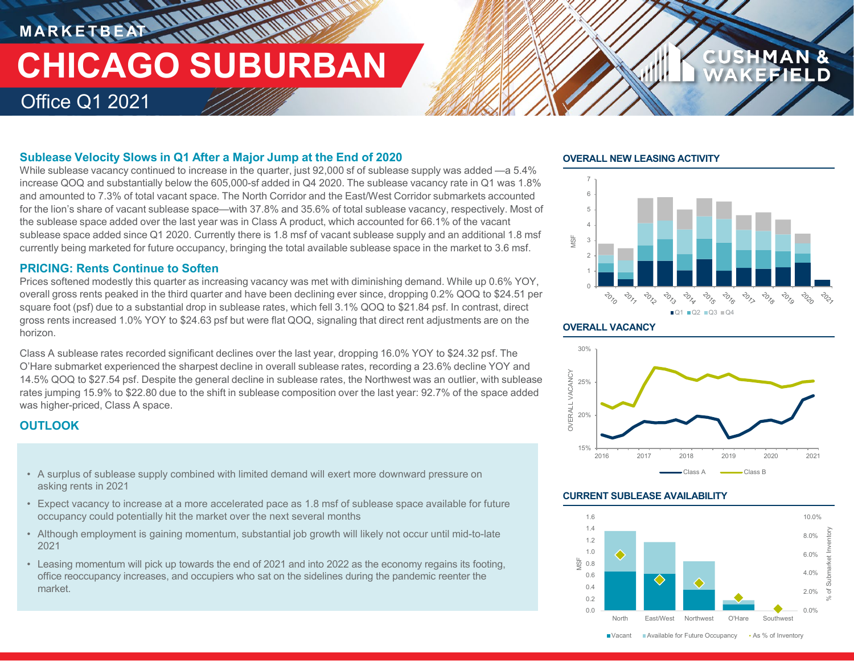## **MARKETBEAT 11 11 11 11 11 11 TETTE AN AN AN AN AN AN CHICAGO SUBURBAN** Office Q1 2021

## **Sublease Velocity Slows in Q1 After a Major Jump at the End of 2020**

While sublease vacancy continued to increase in the quarter, just 92,000 sf of sublease supply was added —a 5.4% increase QOQ and substantially below the 605,000-sf added in Q4 2020. The sublease vacancy rate in Q1 was 1.8% and amounted to 7.3% of total vacant space. The North Corridor and the East/West Corridor submarkets accounted for the lion's share of vacant sublease space—with 37.8% and 35.6% of total sublease vacancy, respectively. Most of the sublease space added over the last year was in Class A product, which accounted for 66.1% of the vacant sublease space added since Q1 2020. Currently there is 1.8 msf of vacant sublease supply and an additional 1.8 msf currently being marketed for future occupancy, bringing the total available sublease space in the market to 3.6 msf.

## **PRICING: Rents Continue to Soften**

Prices softened modestly this quarter as increasing vacancy was met with diminishing demand. While up 0.6% YOY, overall gross rents peaked in the third quarter and have been declining ever since, dropping 0.2% QOQ to \$24.51 per square foot (psf) due to a substantial drop in sublease rates, which fell 3.1% QOQ to \$21.84 psf. In contrast, direct gross rents increased 1.0% YOY to \$24.63 psf but were flat QOQ, signaling that direct rent adjustments are on the horizon.

Class A sublease rates recorded significant declines over the last year, dropping 16.0% YOY to \$24.32 psf. The O'Hare submarket experienced the sharpest decline in overall sublease rates, recording a 23.6% decline YOY and 14.5% QOQ to \$27.54 psf. Despite the general decline in sublease rates, the Northwest was an outlier, with sublease rates jumping 15.9% to \$22.80 due to the shift in sublease composition over the last year: 92.7% of the space added was higher-priced, Class A space.

## **OUTLOOK**

- A surplus of sublease supply combined with limited demand will exert more downward pressure on **A Class A Class A** Class A Class B asking rents in 2021
- Expect vacancy to increase at a more accelerated pace as 1.8 msf of sublease space available for future occupancy could potentially hit the market over the next several months
- Although employment is gaining momentum, substantial job growth will likely not occur until mid-to-late 2021
- Leasing momentum will pick up towards the end of 2021 and into 2022 as the economy regains its footing, office reoccupancy increases, and occupiers who sat on the sidelines during the pandemic reenter the market.

## **OVERALL NEW LEASING ACTIVITY**



**CUSHMAN &** 

## **OVERALL VACANCY**



## **CURRENT SUBLEASE AVAILABILITY**

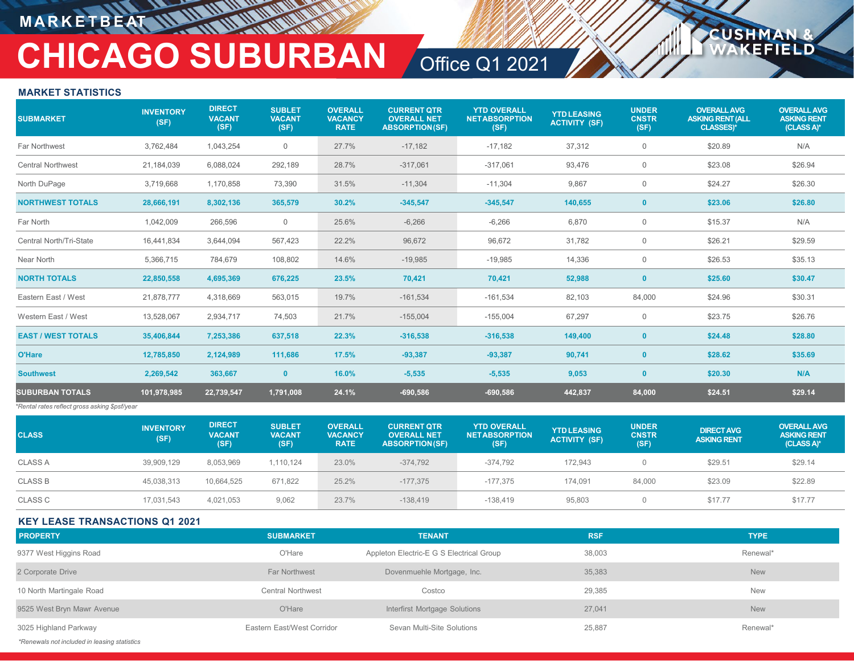## **MARKETBEAT**

## **CHICAGO SUBURBAN** Office Q1 2021

**USHM** 

ELD

## **MARKET STATISTICS**

| <b>SUBMARKET</b>                              | <b>INVENTORY</b><br>(SF) | <b>DIRECT</b><br><b>VACANT</b><br>(SF) | <b>SUBLET</b><br><b>VACANT</b><br>(SF) | <b>OVERALL</b><br><b>VACANCY</b><br><b>RATE</b> | <b>CURRENT QTR</b><br><b>OVERALL NET</b><br><b>ABSORPTION(SF)</b> | <b>YTD OVERALL</b><br><b>NETABSORPTION</b><br>(SF) | <b>YTD LEASING</b><br><b>ACTIVITY (SF)</b> | <b>UNDER</b><br><b>CNSTR</b><br>(SF) | <b>OVERALL AVG</b><br><b>ASKING RENT (ALL</b><br>CLASSES)* | <b>OVERALL AVG</b><br><b>ASKING RENT</b><br>(CLASS A)* |
|-----------------------------------------------|--------------------------|----------------------------------------|----------------------------------------|-------------------------------------------------|-------------------------------------------------------------------|----------------------------------------------------|--------------------------------------------|--------------------------------------|------------------------------------------------------------|--------------------------------------------------------|
| Far Northwest                                 | 3,762,484                | 1,043,254                              | $\mathbf 0$                            | 27.7%                                           | $-17,182$                                                         | $-17,182$                                          | 37,312                                     | $\overline{0}$                       | \$20.89                                                    | N/A                                                    |
| <b>Central Northwest</b>                      | 21,184,039               | 6,088,024                              | 292,189                                | 28.7%                                           | $-317,061$                                                        | $-317,061$                                         | 93,476                                     | $\mathbf 0$                          | \$23.08                                                    | \$26.94                                                |
| North DuPage                                  | 3,719,668                | 1,170,858                              | 73,390                                 | 31.5%                                           | $-11,304$                                                         | $-11,304$                                          | 9,867                                      | $\mathbf 0$                          | \$24.27                                                    | \$26.30                                                |
| <b>NORTHWEST TOTALS</b>                       | 28,666,191               | 8,302,136                              | 365,579                                | 30.2%                                           | $-345,547$                                                        | $-345,547$                                         | 140,655                                    | $\mathbf{0}$                         | \$23.06                                                    | \$26.80                                                |
| Far North                                     | 1,042,009                | 266,596                                | $\mathbf 0$                            | 25.6%                                           | $-6,266$                                                          | $-6,266$                                           | 6,870                                      | $\mathbf 0$                          | \$15.37                                                    | N/A                                                    |
| Central North/Tri-State                       | 16,441,834               | 3,644,094                              | 567,423                                | 22.2%                                           | 96,672                                                            | 96,672                                             | 31,782                                     | $\mathbf{0}$                         | \$26.21                                                    | \$29.59                                                |
| Near North                                    | 5,366,715                | 784,679                                | 108,802                                | 14.6%                                           | $-19,985$                                                         | $-19,985$                                          | 14,336                                     | $\mathbf 0$                          | \$26.53                                                    | \$35.13                                                |
| <b>NORTH TOTALS</b>                           | 22,850,558               | 4,695,369                              | 676,225                                | 23.5%                                           | 70,421                                                            | 70,421                                             | 52,988                                     | $\mathbf{0}$                         | \$25.60                                                    | \$30.47                                                |
| Eastern East / West                           | 21,878,777               | 4,318,669                              | 563,015                                | 19.7%                                           | $-161,534$                                                        | $-161,534$                                         | 82,103                                     | 84,000                               | \$24.96                                                    | \$30.31                                                |
| Western East / West                           | 13,528,067               | 2,934,717                              | 74,503                                 | 21.7%                                           | $-155,004$                                                        | $-155,004$                                         | 67,297                                     | $\mathbf 0$                          | \$23.75                                                    | \$26.76                                                |
| <b>EAST / WEST TOTALS</b>                     | 35,406,844               | 7,253,386                              | 637,518                                | 22.3%                                           | $-316,538$                                                        | $-316,538$                                         | 149,400                                    | $\mathbf{0}$                         | \$24.48                                                    | \$28.80                                                |
| O'Hare                                        | 12,785,850               | 2,124,989                              | 111,686                                | 17.5%                                           | $-93,387$                                                         | $-93,387$                                          | 90,741                                     | $\mathbf{0}$                         | \$28.62                                                    | \$35.69                                                |
| <b>Southwest</b>                              | 2,269,542                | 363,667                                | $\mathbf{0}$                           | 16.0%                                           | $-5,535$                                                          | $-5,535$                                           | 9,053                                      | $\mathbf{0}$                         | \$20.30                                                    | N/A                                                    |
| <b>SUBURBAN TOTALS</b>                        | 101,978,985              | 22,739,547                             | 1,791,008                              | 24.1%                                           | $-690,586$                                                        | $-690,586$                                         | 442,837                                    | 84,000                               | \$24.51                                                    | \$29.14                                                |
| *Rental rates reflect gross asking \$psf/year |                          |                                        |                                        |                                                 |                                                                   |                                                    |                                            |                                      |                                                            |                                                        |
| <b>CLASS</b>                                  | <b>INVENTORY</b><br>(SF) | <b>DIRECT</b><br><b>VACANT</b><br>(SF) | <b>SUBLET</b><br><b>VACANT</b><br>(SF) | <b>OVERALL</b><br><b>VACANCY</b><br><b>RATE</b> | <b>CURRENT QTR</b><br><b>OVERALL NET</b><br><b>ABSORPTION(SF)</b> | <b>YTD OVERALL</b><br><b>NETABSORPTION</b><br>(SF) | <b>YTD LEASING</b><br><b>ACTIVITY (SF)</b> | <b>UNDER</b><br><b>CNSTR</b><br>(SF) | <b>DIRECT AVG</b><br><b>ASKING RENT</b>                    | <b>OVERALL AVG</b><br><b>ASKING RENT</b><br>(CLASS A)* |
| <b>CLASS A</b>                                | 39,909,129               | 8,053,969                              | 1,110,124                              | 23.0%                                           | $-374,792$                                                        | $-374,792$                                         | 172,943                                    | $\overline{0}$                       | \$29.51                                                    | \$29.14                                                |
| <b>CLASS B</b>                                | 45.038.313               | 10,664,525                             | 671.822                                | 25.2%                                           | $-177.375$                                                        | $-177.375$                                         | 174.091                                    | 84,000                               | \$23.09                                                    | \$22.89                                                |
| <b>CLASS C</b>                                | 17,031,543               | 4,021,053                              | 9,062                                  | 23.7%                                           | $-138,419$                                                        | $-138,419$                                         | 95,803                                     | $\mathbf{0}$                         | \$17.77                                                    | \$17.77                                                |

## **KEY LEASE TRANSACTIONS Q1 2021**

| <b>PROPERTY</b>                              | <b>SUBMARKET</b>           | <b>TENANT</b>                            | <b>RSF</b> | <b>TYPE</b> |
|----------------------------------------------|----------------------------|------------------------------------------|------------|-------------|
| 9377 West Higgins Road                       | O'Hare                     | Appleton Electric-E G S Electrical Group | 38,003     | Renewal*    |
| 2 Corporate Drive                            | <b>Far Northwest</b>       | Dovenmuehle Mortgage, Inc.               | 35,383     | <b>New</b>  |
| 10 North Martingale Road                     | <b>Central Northwest</b>   | Costco                                   | 29,385     | <b>New</b>  |
| 9525 West Bryn Mawr Avenue                   | O'Hare                     | Interfirst Mortgage Solutions            | 27,041     | <b>New</b>  |
| 3025 Highland Parkway                        | Eastern East/West Corridor | Sevan Multi-Site Solutions               | 25,887     | Renewal*    |
| *Renewals not included in leasing statistics |                            |                                          |            |             |